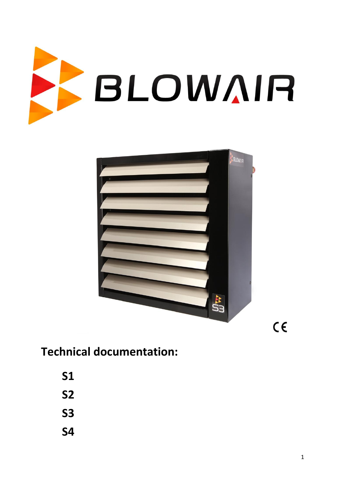



 $C \in$ 

# **Technical documentation:**

- **S1**
- **S2**
- **S3**
- **S4**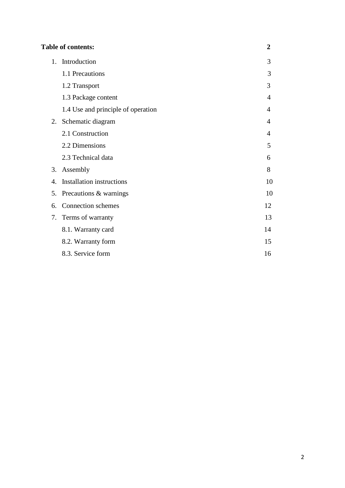|                       | <b>Table of contents:</b>          | $\overline{2}$ |
|-----------------------|------------------------------------|----------------|
| 1.                    | Introduction                       | 3              |
|                       | 1.1 Precautions                    | 3              |
|                       | 1.2 Transport                      | 3              |
|                       | 1.3 Package content                | 4              |
|                       | 1.4 Use and principle of operation | 4              |
| 2.                    | Schematic diagram                  | 4              |
|                       | 2.1 Construction                   | 4              |
|                       | 2.2 Dimensions                     | 5              |
|                       | 2.3 Technical data                 | 6              |
| 3.                    | Assembly                           | 8              |
| $\mathcal{A}_{\cdot}$ | <b>Installation instructions</b>   | 10             |
| 5.                    | Precautions & warnings             | 10             |
| 6.                    | Connection schemes                 | 12             |
| 7.                    | Terms of warranty                  | 13             |
|                       | 8.1. Warranty card                 | 14             |
|                       | 8.2. Warranty form                 | 15             |
|                       | 8.3. Service form                  | 16             |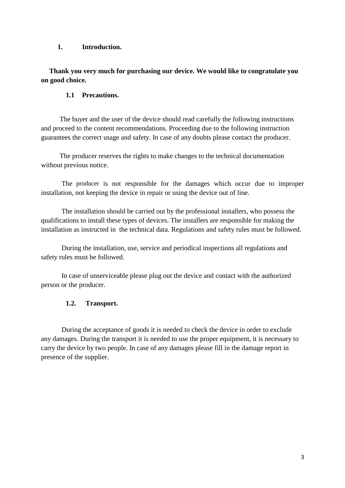## **1. Introduction.**

## **Thank you very much for purchasing our device. We would like to congratulate you on good choice.**

## **1.1 Precautions.**

The buyer and the user of the device should read carefully the following instructions and proceed to the content recommendations. Proceeding due to the following instruction guarantees the correct usage and safety. In case of any doubts please contact the producer.

The producer reserves the rights to make changes to the technical documentation without previous notice.

The producer is not responsible for the damages which occur due to improper installation, not keeping the device in repair or using the device out of line.

The installation should be carried out by the professional installers, who possess the qualifications to install these types of devices. The installers are responsible for making the installation as instructed in the technical data. Regulations and safety rules must be followed.

During the installation, use, service and periodical inspections all regulations and safety rules must be followed.

In case of unserviceable please plug out the device and contact with the authorized person or the producer.

## **1.2. Transport.**

During the acceptance of goods it is needed to check the device in order to exclude any damages. During the transport it is needed to use the proper equipment, it is necessary to carry the device by two people. In case of any damages please fill in the damage report in presence of the supplier.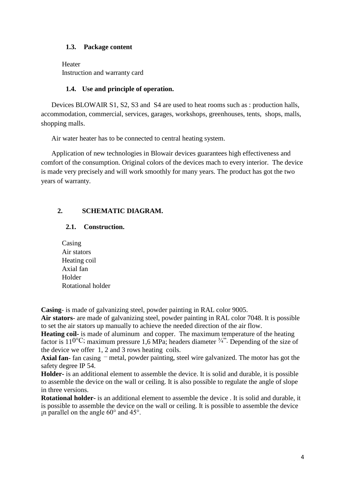## **1.3. Package content**

Heater Instruction and warranty card

## **1.4. Use and principle of operation.**

Devices BLOWAIR S1, S2, S3 and S4 are used to heat rooms such as : production halls, accommodation, commercial, services, garages, workshops, greenhouses, tents, shops, malls, shopping malls.

Air water heater has to be connected to central heating system.

Application of new technologies in Blowair devices guarantees high effectiveness and comfort of the consumption. Original colors of the devices mach to every interior. The device is made very precisely and will work smoothly for many years. The product has got the two years of warranty.

## **2. SCHEMATIC DIAGRAM.**

## **2.1. Construction.**

Casing Air stators Heating coil Axial fan Holder Rotational holder

**Casing**- is made of galvanizing steel, powder painting in RAL color 9005.

**Air stators**- are made of galvanizing steel, powder painting in RAL color 7048. It is possible to set the air stators up manually to achieve the needed direction of the air flow.

**Heating coil-** is made of aluminum and copper. The maximum temperature of the heating factor is  $11^{0\degree}$ C; maximum pressure 1,6 MPa; headers diameter  $\frac{3}{4}$ . Depending of the size of the device we offer 1, 2 and 3 rows heating coils.

**Axial fan**- fan casing – metal, powder painting, steel wire galvanized. The motor has got the safety degree IP 54.

**Holder-** is an additional element to assemble the device. It is solid and durable, it is possible to assemble the device on the wall or ceiling. It is also possible to regulate the angle of slope in three versions.

**Rotational holder-** is an additional element to assemble the device . It is solid and durable, it is possible to assemble the device on the wall or ceiling. It is possible to assemble the device in parallel on the angle 60° and 45°.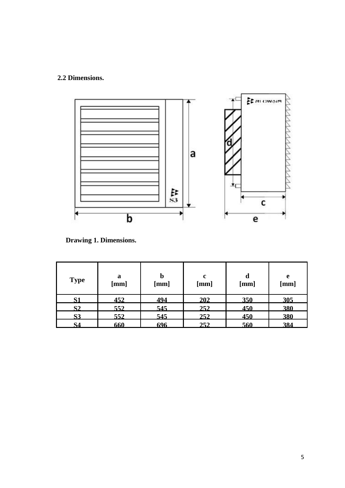# **2.2 Dimensions.**



**Drawing 1. Dimensions.** 

| <b>Type</b> | a<br>[mm] | $\bm{b}$<br>[mm] | $\mathbf c$<br>[mm] | d<br>[mm] | e<br>[mm] |
|-------------|-----------|------------------|---------------------|-----------|-----------|
| S1          | 452       | 494              | 202                 | 350       | 305       |
| S2          | 552       | 545              | 252                 | 450       | 380       |
| <b>S3</b>   | 552       | 545              | 252                 | 450       | 380       |
| S4          | 660       | 696              | 252                 | 560       | 384       |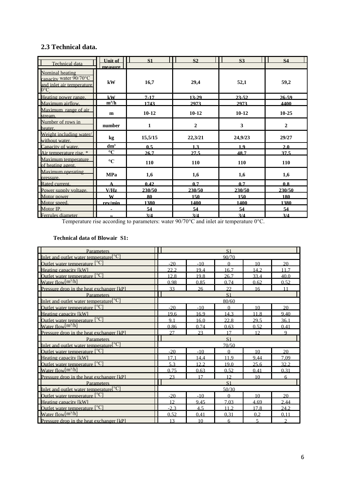## **2.3 Technical data.**

|                                                                                          | <b>Unit of</b>  | S <sub>1</sub> | S <sub>2</sub>   | S <sub>3</sub> | <b>S4</b>      |
|------------------------------------------------------------------------------------------|-----------------|----------------|------------------|----------------|----------------|
| Technical data                                                                           | measure         |                |                  |                |                |
| Nominal heating<br>capacity water 90/70°C<br>and inlet air temperature.<br>$0^{\circ}$ C | kW              | 16,7           | 29,4             | 52,1           | 59,2           |
| Heating power range.                                                                     | kW              | $7 - 17$       | 13-29            | $23 - 52$      | $26 - 59$      |
| Maximum airflow.                                                                         | $m^3/h$         | 1743           | 2973             | 2973           | 4400           |
| Maximum range of air<br>stream.                                                          | m               | $10-12$        | $10-12$          | $10-12$        | $10 - 25$      |
| Number of rows in<br>heater.                                                             | number          | 1              | $\boldsymbol{2}$ | 3              | $\overline{2}$ |
| Weight including water/<br>without water.                                                | kg              | 15,5/15        | 22,3/21          | 24,9/23        | 29/27          |
| Canacity of water.                                                                       | dm <sup>3</sup> | 0.5            | 1.3              | 1.9            | 2.0            |
| Air temperature rise. *                                                                  | $\rm ^{\circ}C$ | 26.7           | 27.5             | 48.7           | 37.5           |
| Maximum temperature<br>of heating agent.                                                 | $\rm ^{\circ}C$ | 110            | 110              | 110            | 110            |
| Maximum operating<br>pressure.                                                           | <b>MPa</b>      | 1,6            | 1,6              | 1,6            | 1,6            |
| Rated current.                                                                           | A               | 0.42           | 0.7              | 0.7            | 0.8            |
| Power supply voltage.                                                                    | V/Hz            | 230/50         | 230/50           | 230/50         | 230/50         |
| Motor power                                                                              | W               | 80             | 150              | 150            | 180            |
| Motor speed.                                                                             | rev/min         | 1380           | 1400             | 1400           | 1380           |
| Motor IP.                                                                                | $\blacksquare$  | 54             | 54               | 54             | 54             |
| Ferrules diameter                                                                        | ,               | 3/4            | 3/4              | 3/4            | 3/4            |

Temperature rise according to parameters: water 90/70°C and inlet air temperature 0°C.

#### **Technical data of Blowair S1:**

| <b>Parameters</b>                                  | S <sub>1</sub> |       |                |                 |      |
|----------------------------------------------------|----------------|-------|----------------|-----------------|------|
| Inlet and outlet water temperature <sup>[°C]</sup> |                |       | 90/70          |                 |      |
| Outlet water temperature $[^{\circ}C]$             | $-20$          | $-10$ | $\Omega$       | 10              | 20   |
| Heating capacity [kW]                              | 22.2           | 19.4  | 16.7           | 14.2.           | 117  |
| Outlet water temperature [°C]                      | 12.8           | 19.8  | 26.7           | 33.4            | 40.0 |
| Water flow $[m^3/h]$                               | 0.98           | 0.85  | 0.74           | 0.62            | 0.52 |
| Pressure drop in the heat exchanger [kP]           | 33             | 26    | 22.            | 16              | 11   |
| Parameters                                         |                |       | S <sub>1</sub> |                 |      |
| <b>Inlet and outlet water temperature</b> $[°C]$   |                |       | 80/60          |                 |      |
| Outlet water temperature [°C]                      | $-20$          | $-10$ | $\Omega$       | 10              | 20   |
| Heating capacity [kW]                              | 19.6           | 16.9  | 14.3           | 11.8            | 9.40 |
| Outlet water temperature [°C]                      | 9.1            | 16.0  | 22.8           | 29.5            | 36.1 |
| Water flow $[m^3/h]$                               | 0.86           | 0.74  | 0.63           | 0.52            | 0.41 |
| <b>Pressure drop in the heat exchanger [kP]</b>    | 27             | 23    | 17             | 12              | 9    |
|                                                    | S <sub>1</sub> |       |                |                 |      |
| Parameters                                         |                |       |                |                 |      |
| Inlet and outlet water temperature <sup>[°C]</sup> |                |       | 70/50          |                 |      |
| Outlet water temperature $[°C]$                    | $-20$          | $-10$ | $\Omega$       | 10              | 20   |
| Heating capacity [kW]                              | 17.1           | 14.4  | 11.9           | 9.44            | 7.09 |
| Outlet water temperature [°C]                      | 5.3            | 12.2. | 19.0           | 25.6            | 322  |
| Water flow $[m^3/h]$                               | 0.75           | 0.63  | 0.52           | 0.41            | 0.31 |
| Pressure drop in the heat exchanger [kP]           | 23             | 17    | 12             | 10              | 6    |
| <b>Parameters</b>                                  |                |       | S <sub>1</sub> |                 |      |
| Inlet and outlet water temperature <sup>[°C]</sup> |                |       | 50/30          |                 |      |
| Outlet water temperature $[{}^{\circ}C]$           | $-20$          | $-10$ | $\Omega$       | 10 <sup>1</sup> | 20   |
| Heating capacity [kW]                              | 12             | 9.45  | 7.03           | 4.69            | 2.44 |
| Outlet water temperature [°C]                      | $-2.3$         | 4.5   | 11.2           | 17.8            | 24.2 |
| Water flow $\lceil m^3/h \rceil$                   | 0.52           | 0.41  | 0.31           | 0.2             | 0.11 |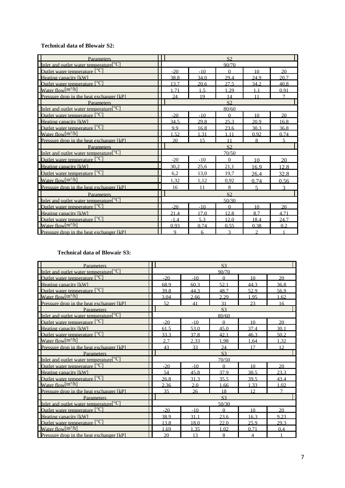#### **Technical data of Blowair S2:**

| Parameters                                                             | S <sub>2</sub> |       |                |                         |                          |
|------------------------------------------------------------------------|----------------|-------|----------------|-------------------------|--------------------------|
| Inlet and outlet water temperature <sup>[°C]</sup>                     |                |       | 90/70          |                         |                          |
| Outlet water temperature $[°C]$                                        | $-20$          | $-10$ | $\Omega$       | 10                      | 20                       |
| Heating capacity [kW]                                                  | 38.8           | 34.0  | 29.4           | 24.9                    | 20.7                     |
| Outlet water temperature [°C]                                          | 13.7           | 20.6  | 27.5           | 34.2                    | 40.8                     |
| Water flow $[m^3/h]$                                                   | .71            | 1.5   | 1.29           | 1 <sub>1</sub>          | 0.91                     |
| Pressure drop in the heat exchanger [kP]                               | 24             | 19    | 14             | 11                      | $\overline{7}$           |
| <b>Parameters</b>                                                      |                |       | S <sub>2</sub> |                         |                          |
| Inlet and outlet water temperature <sup>[°C]</sup>                     |                |       | 80/60          |                         |                          |
| Outlet water temperature $[°C]$                                        | $-20$          | $-10$ | $\Omega$       | 10                      | 20                       |
| Heating capacity [kW]                                                  | 34.5           | 29.8  | 25.3           | 20.9                    | 16.8                     |
| Outlet water temperature [°C]                                          | 9.9            | 16.8  | 23.6           | 30.3                    | 36.8                     |
| Water flow $[m^3/h]$                                                   | 1.52           | 1.31  | 1.11           | 0.92                    | 0.74                     |
| Pressure drop in the heat exchanger [kP]                               | 20             | 15    | 11             | 8                       | $\overline{\phantom{0}}$ |
| <b>Parameters</b>                                                      |                |       | S <sub>2</sub> |                         |                          |
| Inlet and outlet water temperature <sup>[°C]</sup>                     |                |       | 70/50          |                         |                          |
| Outlet water temperature [°C]                                          | $-20$          | $-10$ | $\Omega$       | 10                      | 20                       |
| Heating capacity [kW]                                                  | 30.2           | 25,6  | 21.1           | 16.9                    | 12.8                     |
| Outlet water temperature [°C]                                          | 6,2            | 13.0  | 19,7           | 26.4                    | 32.8                     |
| Water flow $[m^3/h]$                                                   | 1,32           | 1,12  | 0,92           | 0.74                    | 0.56                     |
| Pressure drop in the heat exchanger [kP]                               | 16             | 11    | 8              | $\overline{\mathbf{S}}$ | $\mathcal{R}$            |
| Parameters                                                             |                |       | S <sub>2</sub> |                         |                          |
| Inlet and outlet water temperature <sup>[<math>^{\circ}</math>C]</sup> | 50/30          |       |                |                         |                          |
| Outlet water temperature $[{}^{\circ}C]$                               | $-20$          | $-10$ | $\Omega$       | 10                      | 20                       |
| Heating capacity [kW]                                                  | 21.4           | 17.0  | 12.8           | 8.7                     | 4.71                     |
| Outlet water temperature [°C]                                          | $-1.4$         | 5.3   | 12.0           | 18.4                    | 24.7                     |
| Water flow $[m^3/h]$                                                   | 0.93           | 0.74  | 0.55           | 0.38                    | 0.2                      |
| Pressure drop in the heat exchanger [kP]                               | $\mathbf Q$    | 6     | 3              | $\mathfrak{D}$          |                          |

#### **Technical data of Blowair S3:**

| Parameters                                         | S <sub>3</sub> |       |                |                |        |
|----------------------------------------------------|----------------|-------|----------------|----------------|--------|
| Inlet and outlet water temperature <sup>[°C]</sup> |                |       | 90/70          |                |        |
| Outlet water temperature $[^{\circ}C]$             | $-20$          | $-10$ | $\theta$       | 10             | 20     |
| Heating capacity [kW]                              | 68.9           | 60.3  | 52.1           | 44.3           | 36.8   |
| Outlet water temperature $[^{\circ}C]$             | 39.8           | 44.3  | 48.7           | 52.9           | 56.9   |
| Water flow $[m^3/h]$                               | 3.04           | 2.66  | 2.29           | 1.95           | 1.62   |
| <b>Pressure drop in the heat exchanger [kP]</b>    | 52             | 41    | 31             | 23             | 16     |
| Parameters                                         |                |       | S <sub>3</sub> |                |        |
| Inlet and outlet water temperature <sup>[°C]</sup> |                |       | 80/60          |                |        |
| Outlet water temperature [°C]                      | $-20$          | $-10$ | $\Omega$       | 10             | 20     |
| Heating capacity [kW]                              | 61.5           | 53.0  | 45.0           | 37.4           | 30.1   |
| Outlet water temperature [°C]                      | 33.3           | 37.8  | 42.1           | 46.3           | 50.2   |
| Water flow $[m^3/h]$                               | 2.7            | 2.33  | 1.98           | 1.64           | 1.32   |
| Pressure drop in the heat exchanger [kP]           | 43             | 33    | 24             | 17             | 12     |
| Parameters                                         | S <sub>3</sub> |       |                |                |        |
| Inlet and outlet water temperature <sup>[°C]</sup> |                |       | 70/50          |                |        |
| Outlet water temperature $[°C]$                    | $-20$          | $-10$ | $\Omega$       | 10             | 20     |
| Heating capacity [kW]                              | 54             | 45.8  | 37.9           | 30.5           | 23.3   |
| Outlet water temperature [°C]                      | 26.8           | 31.3  | 35.5           | 39.5           | 43.4   |
| Water flow $[m^3/h]$                               | 2.36           | 2.0   | 1.66           | 1.33           | 1.02   |
| Pressure drop in the heat exchanger [kP]           | 35             | 26    | 18             | 12             | $\tau$ |
| <b>Parameters</b>                                  | S <sub>3</sub> |       |                |                |        |
| Inlet and outlet water temperature <sup>[°C]</sup> | 50/30          |       |                |                |        |
| Outlet water temperature $[°C]$                    | $-20$          | $-10$ | $\Omega$       | 10             | 20     |
| Heating capacity [kW]                              | 38.9           | 31.1  | 23.6           | 16.3           | 9.23   |
| Outlet water temperature [°C]                      | 13.8           | 18.0  | 22.0           | 25.9           | 29.3   |
| Water flow $[m^3/h]$                               | 1.69           | 1.35  | 1.02           | 0.71           | 0.4    |
| Pressure drop in the heat exchanger [kP]           | 20             | 13    | 8              | $\overline{4}$ |        |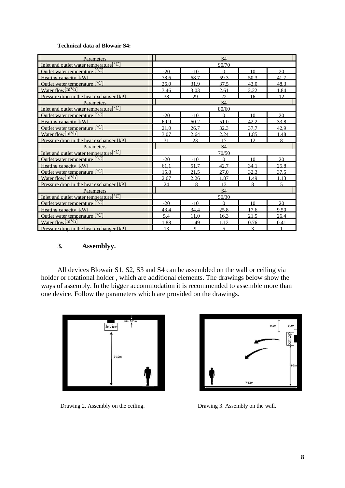#### **Technical data of Blowair S4:**

| <b>Parameters</b>                                                                        | S4    |       |           |      |                |
|------------------------------------------------------------------------------------------|-------|-------|-----------|------|----------------|
| Inlet and outlet water temperature <sup>[°C]</sup>                                       |       |       | 90/70     |      |                |
| Outlet water temperature $[°C]$                                                          | $-20$ | $-10$ | $\Omega$  | 10   | 20             |
| Heating capacity [kW]                                                                    | 78.6  | 68.7  | 59.3      | 50.3 | 41.7           |
| Outlet water temperature [°C]                                                            | 26.0  | 31.9  | 37.5      | 43.0 | 48.3           |
| Water flow $[m^3/h]$                                                                     | 3.46  | 3.03  | 2.61      | 2.22 | 1.84           |
| <b>Pressure drop in the heat exchanger [kP]</b>                                          | 38    | 29    | 22.       | 16   | 12             |
| Parameters                                                                               |       |       | <b>S4</b> |      |                |
| <b>Inlet and outlet water temperature</b> $\begin{bmatrix} \circ \text{C} \end{bmatrix}$ |       |       | 80/60     |      |                |
| Outlet water temperature [°C]                                                            | $-20$ | $-10$ | $\Omega$  | 10   | 20             |
| Heating capacity [kW]                                                                    | 69.9  | 60.2  | 51.0      | 42.2 | 33.8           |
| Outlet water temperature [°C]                                                            | 21.0  | 26.7  | 32.3      | 37.7 | 42.9           |
| Water flow $[m^3/h]$                                                                     | 3.07  | 2.64  | 2.24      | 1.85 | 1.48           |
| <b>Pressure drop in the heat exchanger [kP]</b>                                          | 31    | 23    | 17        | 12   | 8              |
| <b>Parameters</b>                                                                        |       |       | S4        |      |                |
| Inlet and outlet water temperature <sup>[°C]</sup>                                       |       |       | 70/50     |      |                |
| Outlet water temperature [°C]                                                            | $-20$ | $-10$ | $\theta$  | 10   | 20             |
| Heating capacity [kW]                                                                    | 61.1  | 51.7  | 42.7      | 34.1 | 25.8           |
| Outlet water temperature [°C]                                                            | 15.8  | 21.5  | 27.0      | 32.3 | 37.5           |
| Water flow $[m^3/h]$                                                                     | 2.67  | 2.26  | 1.87      | 1.49 | 1.13           |
| <b>Pressure drop in the heat exchanger [kP]</b>                                          | 24    | 18    | 13        | 8    | $\overline{5}$ |
|                                                                                          |       |       |           |      |                |
| Parameters                                                                               |       |       | <b>S4</b> |      |                |
| Inlet and outlet water temperature <sup>[<math>°C</math>]</sup>                          |       |       | 50/30     |      |                |
| Outlet water temperature $[°C]$                                                          | $-20$ | $-10$ | $\Omega$  | 10   | 20             |
| Heating capacity [kW]                                                                    | 43.4  | 34.4  | 25.8      | 17.6 | 9.50           |
| Outlet water temperature [°C]                                                            | 5.4   | 11.0  | 16.3      | 21.5 | 26.4           |
| Water flow $[m^3/h]$                                                                     | 1.88  | 1.49  | 1.12      | 0.76 | 0.41           |

## **3. Assemblyy.**

All devices Blowair S1, S2, S3 and S4 can be assembled on the wall or ceiling via holder or rotational holder , which are additional elements. The drawings below show the ways of assembly. In the bigger accommodation it is recommended to assemble more than one device. Follow the parameters which are provided on the drawings.



Drawing 2. Assembly on the ceiling. Drawing 3. Assembly on the wall.

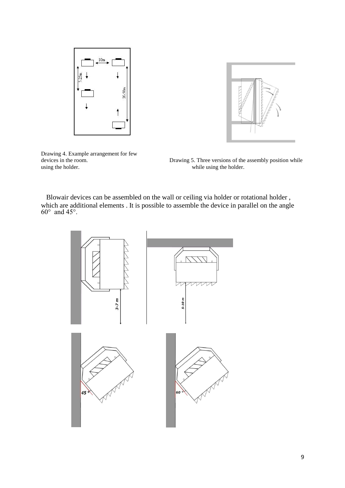



Drawing 4. Example arrangement for few using the holder. While using the holder.

devices in the room. Drawing 5. Three versions of the assembly position while

 Blowair devices can be assembled on the wall or ceiling via holder or rotational holder , which are additional elements . It is possible to assemble the device in parallel on the angle  $60^\circ$  and  $45^\circ$ .

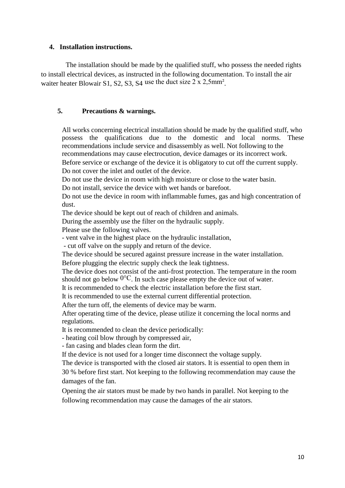#### **4. Installation instructions.**

The installation should be made by the qualified stuff, who possess the needed rights to install electrical devices, as instructed in the following documentation. To install the air waiter heater Blowair S1, S2, S3, S4 use the duct size 2 x 2,5mm<sup>2</sup>.

## **5. Precautions & warnings.**

All works concerning electrical installation should be made by the qualified stuff, who possess the qualifications due to the domestic and local norms. These recommendations include service and disassembly as well. Not following to the recommendations may cause electrocution, device damages or its incorrect work. Before service or exchange of the device it is obligatory to cut off the current supply.

Do not cover the inlet and outlet of the device.

Do not use the device in room with high moisture or close to the water basin. Do not install, service the device with wet hands or barefoot.

Do not use the device in room with inflammable fumes, gas and high concentration of dust.

The device should be kept out of reach of children and animals.

During the assembly use the filter on the hydraulic supply.

Please use the following valves.

- vent valve in the highest place on the hydraulic installation,

- cut off valve on the supply and return of the device.

The device should be secured against pressure increase in the water installation. Before plugging the electric supply check the leak tightness.

The device does not consist of the anti-frost protection. The temperature in the room should not go below  $0^{\circ}$ C. In such case please empty the device out of water.

It is recommended to check the electric installation before the first start.

It is recommended to use the external current differential protection.

After the turn off, the elements of device may be warm.

After operating time of the device, please utilize it concerning the local norms and regulations.

It is recommended to clean the device periodically:

- heating coil blow through by compressed air,

- fan casing and blades clean form the dirt.

If the device is not used for a longer time disconnect the voltage supply.

The device is transported with the closed air stators. It is essential to open them in

30 % before first start. Not keeping to the following recommendation may cause the damages of the fan.

Opening the air stators must be made by two hands in parallel. Not keeping to the following recommendation may cause the damages of the air stators.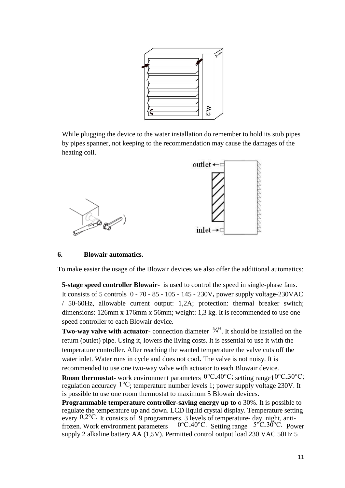|  |                 | <b>Ty Burnet</b> |
|--|-----------------|------------------|
|  |                 |                  |
|  |                 |                  |
|  |                 |                  |
|  |                 |                  |
|  |                 |                  |
|  |                 |                  |
|  | $\frac{13}{53}$ |                  |

While plugging the device to the water installation do remember to hold its stub pipes by pipes spanner, not keeping to the recommendation may cause the damages of the heating coil.



## **6. Blowair automatics.**

To make easier the usage of the Blowair devices we also offer the additional automatics:

**5-stage speed controller Blowair**- is used to control the speed in single-phase fans. It consists of 5 controls 0 - 70 - 85 - 105 - 145 - 230V**,** power supply voltag**e-**230VAC / 50-60Hz, allowable current output: 1,2A; protection: thermal breaker switch; dimensions: 126mm x 176mm x 56mm; weight: 1,3 kg. It is recommended to use one speed controller to each Blowair device.

**Two-way valve with actuator-** connection diameter  $\frac{3}{4}$ . It should be installed on the return (outlet) pipe. Using it, lowers the living costs. It is essential to use it with the temperature controller. After reaching the wanted temperature the valve cuts off the water inlet. Water runs in cycle and does not cool**.** The valve is not noisy. It is recommended to use one two-way valve with actuator to each Blowair device.

**Room thermostat-** work environment parameters <sup>0°</sup>C<sub>-40</sub>°C; setting range1<sup>0°</sup>C<sub>-30</sub>°C; regulation accuracy 1°C; temperature number levels 1; power supply voltage 230V. It is possible to use one room thermostat to maximum 5 Blowair devices.

**Programmable temperature controller-saving energy up to**  $\circ$  30%. It is possible to regulate the temperature up and down. LCD liquid crystal display. Temperature setting every 0,2°C. It consists of 9 programmers. 3 levels of temperature- day, night, antifrozen. Work environment parameters 0°C-40°C. Setting range 5°C-30°C. Power supply 2 alkaline battery AA (1,5V). Permitted control output load 230 VAC 50Hz 5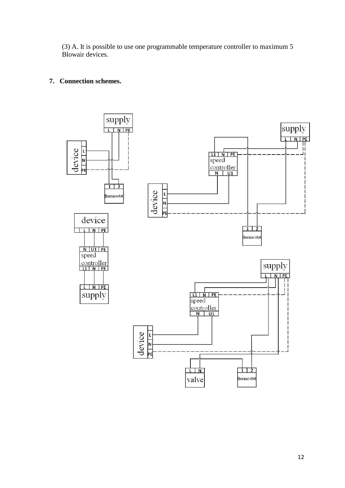(3) A. It is possible to use one programmable temperature controller to maximum 5 Blowair devices.

## **7. Connection schemes.**

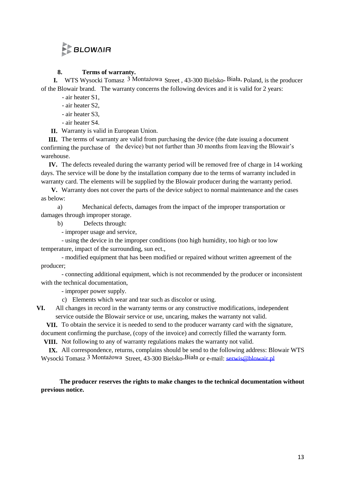# BLOWAIR

## **8. Terms of warranty.**

**I.** WTS Wysocki Tomasz 3 Montażowa Street , 43-300 Bielsko- Biała, Poland, is the producer of the Blowair brand. The warranty concerns the following devices and it is valid for 2 years:

- air heater S1,

- air heater S2,
- air heater S3,
- air heater S4.

**II.** Warranty is valid in European Union.

**III.** The terms of warranty are valid from purchasing the device (the date issuing a document confirming the purchase of the device) but not further than 30 months from leaving the Blowair's warehouse.

**IV.** The defects revealed during the warranty period will be removed free of charge in 14 working days. The service will be done by the installation company due to the terms of warranty included in warranty card. The elements will be supplied by the Blowair producer during the warranty period.

**V.** Warranty does not cover the parts of the device subject to normal maintenance and the cases as below:

a) Mechanical defects, damages from the impact of the improper transportation or damages through improper storage.

b) Defects through:

- improper usage and service,

- using the device in the improper conditions (too high humidity, too high or too low temperature, impact of the surrounding, sun ect.,

- modified equipment that has been modified or repaired without written agreement of the producer;

- connecting additional equipment, which is not recommended by the producer or inconsistent with the technical documentation,

- improper power supply.

c) Elements which wear and tear such as discolor or using.

**VI.** All changes in record in the warranty terms or any constructive modifications, independent service outside the Blowair service or use, uncaring, makes the warranty not valid.

**VII.** To obtain the service it is needed to send to the producer warranty card with the signature, document confirming the purchase, (copy of the invoice) and correctly filled the warranty form.

**VIII.** Not following to any of warranty regulations makes the warranty not valid.

**IX.** All correspondence, returns, complains should be send to the following address: Blowair WTS Wysocki Tomasz 3 Montażowa Street, 43-300 Bielsko-Biała or e-mail: serwis@blowair.pl

**The producer reserves the rights to make changes to the technical documentation without previous notice.**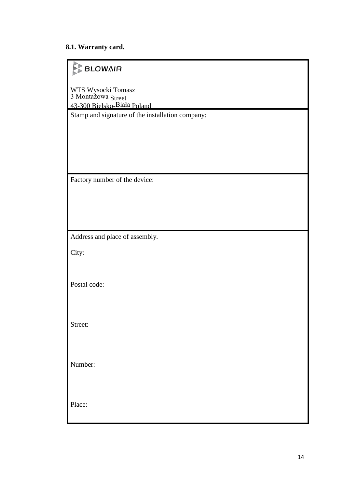## **8.1. Warranty card.**

# **BLOWAIR**

WTS Wysocki Tomasz 3 Montażowa Street 43-300 Bielsko-Biała Poland

Stamp and signature of the installation company:

Factory number of the device:

Address and place of assembly.

City:

Postal code:

Street:

Number:

Place: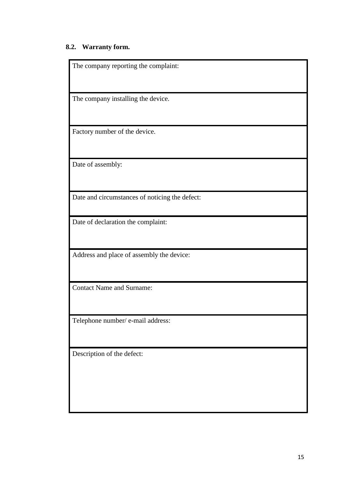# **8.2. Warranty form.**

| The company reporting the complaint:           |
|------------------------------------------------|
| The company installing the device.             |
| Factory number of the device.                  |
| Date of assembly:                              |
| Date and circumstances of noticing the defect: |
| Date of declaration the complaint:             |
| Address and place of assembly the device:      |
| <b>Contact Name and Surname:</b>               |
| Telephone number/ e-mail address:              |
| Description of the defect:                     |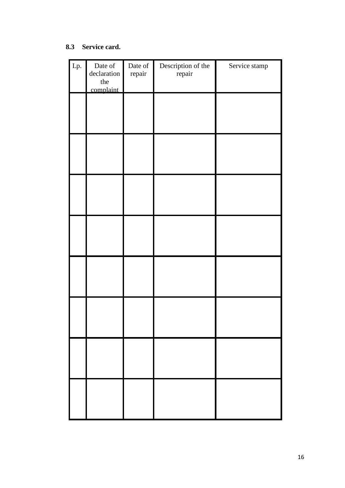## **8.3 Service card.**

| Lp. | Date of<br>declaration<br>the<br>complaint | Date of<br>repair | Description of the<br>repair | Service stamp |
|-----|--------------------------------------------|-------------------|------------------------------|---------------|
|     |                                            |                   |                              |               |
|     |                                            |                   |                              |               |
|     |                                            |                   |                              |               |
|     |                                            |                   |                              |               |
|     |                                            |                   |                              |               |
|     |                                            |                   |                              |               |
|     |                                            |                   |                              |               |
|     |                                            |                   |                              |               |